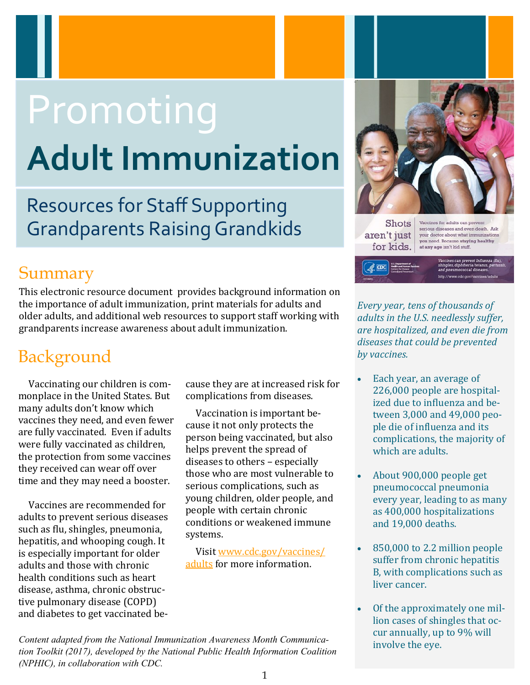# Promoting **Adult Immunization**

Resources for Staff Supporting Grandparents Raising Grandkids

## Summary

This electronic resource document provides background information on the importance of adult immunization, print materials for adults and older adults, and additional web resources to support staff working with grandparents increase awareness about adult immunization.

# Background

Vaccinating our children is commonplace in the United States. But many adults don't know which vaccines they need, and even fewer are fully vaccinated. Even if adults were fully vaccinated as children, the protection from some vaccines they received can wear off over time and they may need a booster.

Vaccines are recommended for adults to prevent serious diseases such as flu, shingles, pneumonia, hepatitis, and whooping cough. It is especially important for older adults and those with chronic health conditions such as heart disease, asthma, chronic obstructive pulmonary disease (COPD) and diabetes to get vaccinated because they are at increased risk for complications from diseases.

Vaccination is important because it not only protects the person being vaccinated, but also helps prevent the spread of diseases to others – especially those who are most vulnerable to serious complications, such as young children, older people, and people with certain chronic conditions or weakened immune systems.

Visit [www.cdc.gov/vaccines/](https://www.cdc.gov/vaccines/adults/) [adults](https://www.cdc.gov/vaccines/adults/) for more information.



aren't just for kids. your doctor about what immunizations you need. Because staying healthy<br>at any age isn't kid stuff.

*Every year, tens of thousands of adults in the U.S. needlessly suffer, are hospitalized, and even die from diseases that could be prevented by vaccines.* 

- Each year, an average of 226,000 people are hospitalized due to influenza and between 3,000 and 49,000 people die of influenza and its complications, the majority of which are adults.
- About 900,000 people get pneumococcal pneumonia every year, leading to as many as 400,000 hospitalizations and 19,000 deaths.
- 850,000 to 2.2 million people suffer from chronic hepatitis B, with complications such as liver cancer.
- Of the approximately one million cases of shingles that occur annually, up to 9% will involve the eye.

*Content adapted from the National Immunization Awareness Month Communication Toolkit (2017), developed by the National Public Health Information Coalition (NPHIC), in collaboration with CDC.*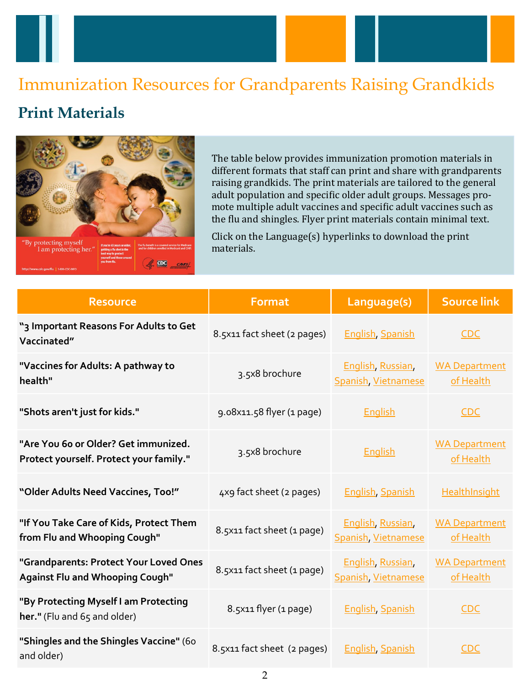# Immunization Resources for Grandparents Raising Grandkids

## **Print Materials**



The table below provides immunization promotion materials in different formats that staff can print and share with grandparents raising grandkids. The print materials are tailored to the general adult population and specific older adult groups. Messages promote multiple adult vaccines and specific adult vaccines such as the flu and shingles. Flyer print materials contain minimal text.

Click on the Language(s) hyperlinks to download the print materials.

| <b>Resource</b>                                                                  | <b>Format</b>               | Language(s)                              | <b>Source link</b>                |
|----------------------------------------------------------------------------------|-----------------------------|------------------------------------------|-----------------------------------|
| "3 Important Reasons For Adults to Get<br>Vaccinated"                            | 8.5x11 fact sheet (2 pages) | <b>English, Spanish</b>                  | <b>CDC</b>                        |
| "Vaccines for Adults: A pathway to<br>health"                                    | 3.5x8 brochure              | English, Russian,<br>Spanish, Vietnamese | <b>WA Department</b><br>of Health |
| "Shots aren't just for kids."                                                    | 9.08x11.58 flyer (1 page)   | English                                  | <b>CDC</b>                        |
| "Are You 6o or Older? Get immunized.<br>Protect yourself. Protect your family."  | 3.5x8 brochure              | <b>English</b>                           | <b>WA Department</b><br>of Health |
| "Older Adults Need Vaccines, Too!"                                               | 4x9 fact sheet (2 pages)    | <b>English, Spanish</b>                  | <b>HealthInsight</b>              |
| "If You Take Care of Kids, Protect Them<br>from Flu and Whooping Cough"          | 8.5x11 fact sheet (1 page)  | English, Russian,<br>Spanish, Vietnamese | <b>WA Department</b><br>of Health |
| "Grandparents: Protect Your Loved Ones<br><b>Against Flu and Whooping Cough"</b> | 8.5x11 fact sheet (1 page)  | English, Russian,<br>Spanish, Vietnamese | <b>WA Department</b><br>of Health |
| "By Protecting Myself I am Protecting<br>her." (Flu and $65$ and older)          | 8.5x11 flyer (1 page)       | <b>English Spanish</b>                   | <b>CDC</b>                        |
| "Shingles and the Shingles Vaccine" (60<br>and older)                            | 8.5x11 fact sheet (2 pages) | <b>English Spanish</b>                   | <b>CDC</b>                        |